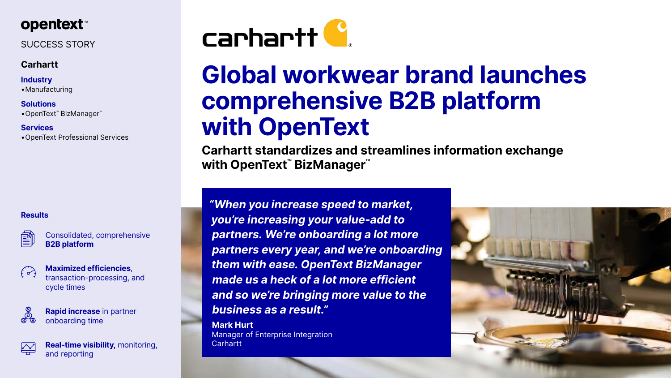

# SUCCESS STORY

# **Carhartt**

**Industry** •Manufacturing

**Solutions** •OpenText™ BizManager™

> **Carhartt standardizes and streamlines information exchange with OpenText™ BizManager™**

**Services** •OpenText Professional Services

> *"When you increase speed to market, you're increasing your value-add to partners. We're onboarding a lot more partners every year, and we're onboarding them with ease. OpenText BizManager made us a heck of a lot more efficient and so we're bringing more value to the business as a result."* **Mark Hurt**  Manager of Enterprise Integration **Carhartt**





# **Global workwear brand launches comprehensive B2B platform with OpenText**

## **Results**

Consolidated, comprehensive **B2B platform**



**Maximized efficiencies**, transaction-processing, and cycle times



**Rapid increase** in partner onboarding time



**Real-time visibility,** monitoring, and reporting

# carhartt (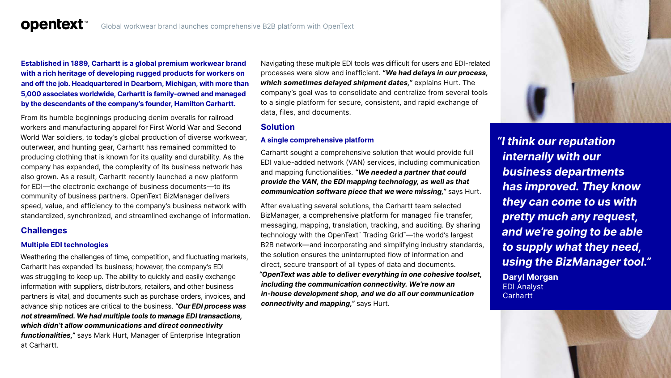**Established in 1889, Carhartt is a global premium workwear brand with a rich heritage of developing rugged products for workers on and off the job. Headquartered in Dearborn, Michigan, with more than 5,000 associates worldwide, Carhartt is family-owned and managed by the descendants of the company's founder, Hamilton Carhartt.**

From its humble beginnings producing denim overalls for railroad workers and manufacturing apparel for First World War and Second World War soldiers, to today's global production of diverse workwear, outerwear, and hunting gear, Carhartt has remained committed to producing clothing that is known for its quality and durability. As the company has expanded, the complexity of its business network has also grown. As a result, Carhartt recently launched a new platform for EDI—the electronic exchange of business documents—to its community of business partners. OpenText BizManager delivers speed, value, and efficiency to the company's business network with standardized, synchronized, and streamlined exchange of information.

## **Challenges**

**opentext™** 

#### **Multiple EDI technologies**

Weathering the challenges of time, competition, and fluctuating markets, Carhartt has expanded its business; however, the company's EDI was struggling to keep up. The ability to quickly and easily exchange information with suppliers, distributors, retailers, and other business partners is vital, and documents such as purchase orders, invoices, and advance ship notices are critical to the business. *"Our EDI process was not streamlined. We had multiple tools to manage EDI transactions, which didn't allow communications and direct connectivity functionalities,"* says Mark Hurt, Manager of Enterprise Integration at Carhartt.

*"I think our reputation internally with our business departments has improved. They know they can come to us with pretty much any request, and we're going to be able to supply what they need, using the BizManager tool."*  **Daryl Morgan**  EDI Analyst **Carhartt** 



Navigating these multiple EDI tools was difficult for users and EDI-related processes were slow and inefficient. *"We had delays in our process, which sometimes delayed shipment dates,"* explains Hurt. The company's goal was to consolidate and centralize from several tools to a single platform for secure, consistent, and rapid exchange of data, files, and documents.

# **Solution**

#### **A single comprehensive platform**

Carhartt sought a comprehensive solution that would provide full EDI value-added network (VAN) services, including communication and mapping functionalities. *"We needed a partner that could provide the VAN, the EDI mapping technology, as well as that communication software piece that we were missing,"* says Hurt.

After evaluating several solutions, the Carhartt team selected BizManager, a comprehensive platform for managed file transfer, messaging, mapping, translation, tracking, and auditing. By sharing technology with the OpenText<sup>™</sup> Trading Grid<sup>™</sup>—the world's largest B2B network—and incorporating and simplifying industry standards, the solution ensures the uninterrupted flow of information and direct, secure transport of all types of data and documents. *"OpenText was able to deliver everything in one cohesive toolset, including the communication connectivity. We're now an in-house development shop, and we do all our communication connectivity and mapping,"* says Hurt.

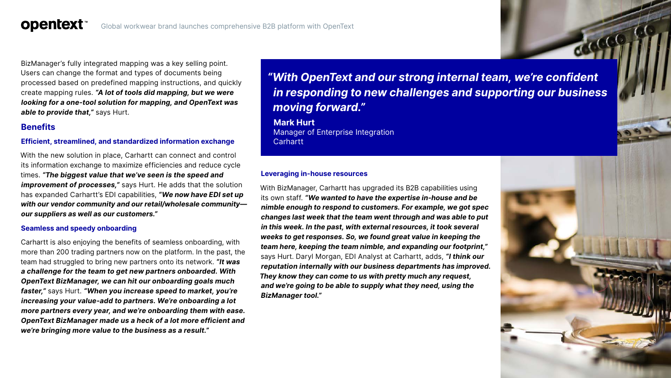BizManager's fully integrated mapping was a key selling point. Users can change the format and types of documents being processed based on predefined mapping instructions, and quickly create mapping rules. *"A lot of tools did mapping, but we were looking for a one-tool solution for mapping, and OpenText was able to provide that,"* says Hurt.

### **Benefits**

**opentext™** 

#### **Efficient, streamlined, and standardized information exchange**

With the new solution in place, Carhartt can connect and control its information exchange to maximize efficiencies and reduce cycle times. *"The biggest value that we've seen is the speed and*  improvement of processes," says Hurt. He adds that the solution has expanded Carhartt's EDI capabilities, *"We now have EDI set up with our vendor community and our retail/wholesale community our suppliers as well as our customers."*

#### **Seamless and speedy onboarding**

**Mark Hurt Carhartt** 

Carhartt is also enjoying the benefits of seamless onboarding, with more than 200 trading partners now on the platform. In the past, the team had struggled to bring new partners onto its network. *"It was a challenge for the team to get new partners onboarded. With OpenText BizManager, we can hit our onboarding goals much faster,"* says Hurt. *"When you increase speed to market, you're increasing your value-add to partners. We're onboarding a lot more partners every year, and we're onboarding them with ease. OpenText BizManager made us a heck of a lot more efficient and we're bringing more value to the business as a result."*

#### **Leveraging in-house resources**

With BizManager, Carhartt has upgraded its B2B capabilities using its own staff. *"We wanted to have the expertise in-house and be nimble enough to respond to customers. For example, we got spec changes last week that the team went through and was able to put in this week. In the past, with external resources, it took several weeks to get responses. So, we found great value in keeping the team here, keeping the team nimble, and expanding our footprint,"* says Hurt. Daryl Morgan, EDI Analyst at Carhartt, adds, *"I think our reputation internally with our business departments has improved. They know they can come to us with pretty much any request, and we're going to be able to supply what they need, using the BizManager tool."*



Manager of Enterprise Integration